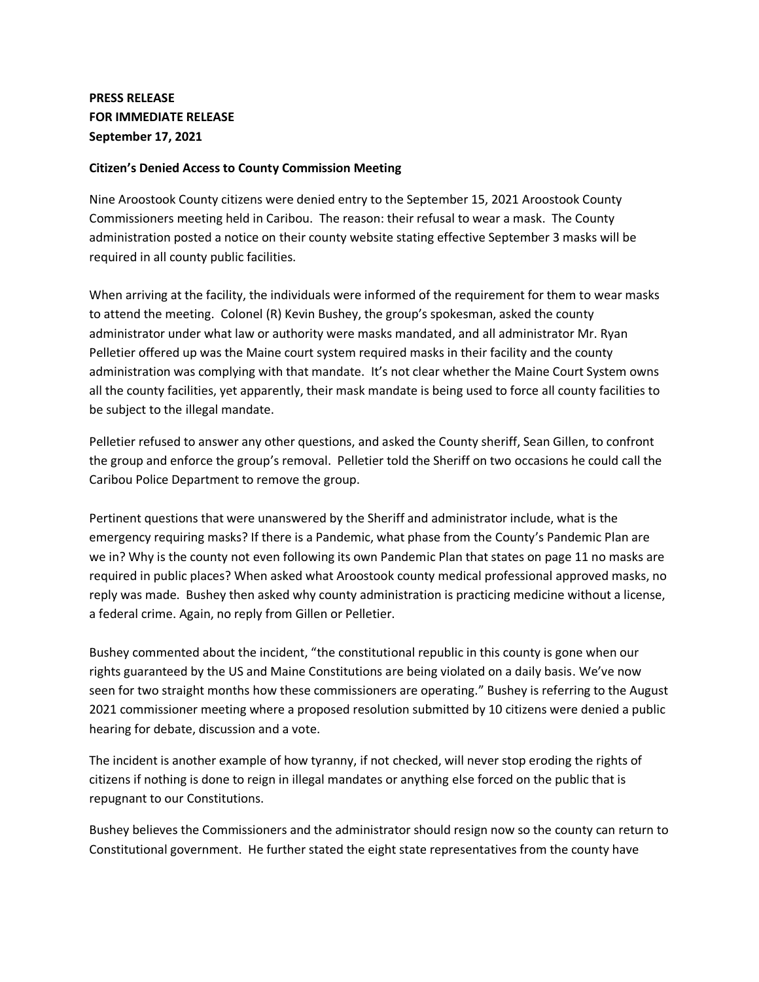## **PRESS RELEASE FOR IMMEDIATE RELEASE September 17, 2021**

## **Citizen's Denied Access to County Commission Meeting**

Nine Aroostook County citizens were denied entry to the September 15, 2021 Aroostook County Commissioners meeting held in Caribou. The reason: their refusal to wear a mask. The County administration posted a notice on their county website stating effective September 3 masks will be required in all county public facilities.

When arriving at the facility, the individuals were informed of the requirement for them to wear masks to attend the meeting. Colonel (R) Kevin Bushey, the group's spokesman, asked the county administrator under what law or authority were masks mandated, and all administrator Mr. Ryan Pelletier offered up was the Maine court system required masks in their facility and the county administration was complying with that mandate. It's not clear whether the Maine Court System owns all the county facilities, yet apparently, their mask mandate is being used to force all county facilities to be subject to the illegal mandate.

Pelletier refused to answer any other questions, and asked the County sheriff, Sean Gillen, to confront the group and enforce the group's removal. Pelletier told the Sheriff on two occasions he could call the Caribou Police Department to remove the group.

Pertinent questions that were unanswered by the Sheriff and administrator include, what is the emergency requiring masks? If there is a Pandemic, what phase from the County's Pandemic Plan are we in? Why is the county not even following its own Pandemic Plan that states on page 11 no masks are required in public places? When asked what Aroostook county medical professional approved masks, no reply was made. Bushey then asked why county administration is practicing medicine without a license, a federal crime. Again, no reply from Gillen or Pelletier.

Bushey commented about the incident, "the constitutional republic in this county is gone when our rights guaranteed by the US and Maine Constitutions are being violated on a daily basis. We've now seen for two straight months how these commissioners are operating." Bushey is referring to the August 2021 commissioner meeting where a proposed resolution submitted by 10 citizens were denied a public hearing for debate, discussion and a vote.

The incident is another example of how tyranny, if not checked, will never stop eroding the rights of citizens if nothing is done to reign in illegal mandates or anything else forced on the public that is repugnant to our Constitutions.

Bushey believes the Commissioners and the administrator should resign now so the county can return to Constitutional government. He further stated the eight state representatives from the county have